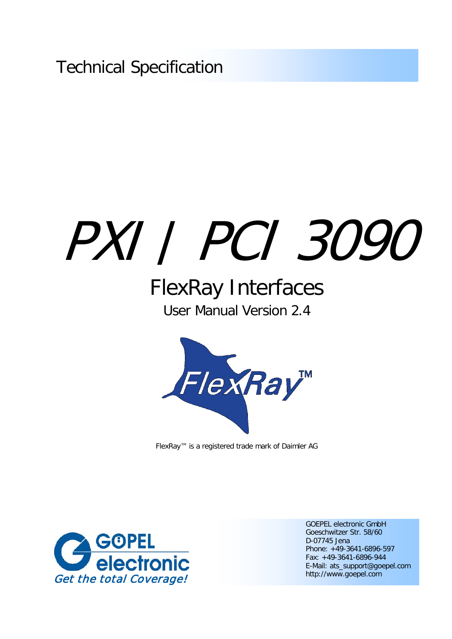Technical Specification

# PXI / PCI 3090

## FlexRay Interfaces User Manual Version 2.4



FlexRay™ is a registered trade mark of Daimler AG



GOEPEL electronic GmbH Goeschwitzer Str. 58/60 D-07745 Jena Phone: +49-3641-6896-597 Fax: +49-3641-6896-944 E-Mail: ats\_support@goepel.com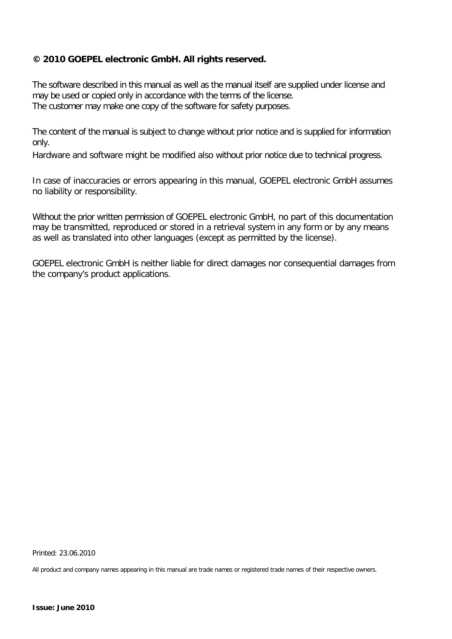#### **© 2010 GOEPEL electronic GmbH. All rights reserved.**

The software described in this manual as well as the manual itself are supplied under license and may be used or copied only in accordance with the terms of the license. The customer may make one copy of the software for safety purposes.

The content of the manual is subject to change without prior notice and is supplied for information only.

Hardware and software might be modified also without prior notice due to technical progress.

In case of inaccuracies or errors appearing in this manual, GOEPEL electronic GmbH assumes no liability or responsibility.

Without the prior written permission of GOEPEL electronic GmbH, no part of this documentation may be transmitted, reproduced or stored in a retrieval system in any form or by any means as well as translated into other languages (except as permitted by the license).

GOEPEL electronic GmbH is neither liable for direct damages nor consequential damages from the company's product applications.

Printed: 23.06.2010

All product and company names appearing in this manual are trade names or registered trade names of their respective owners.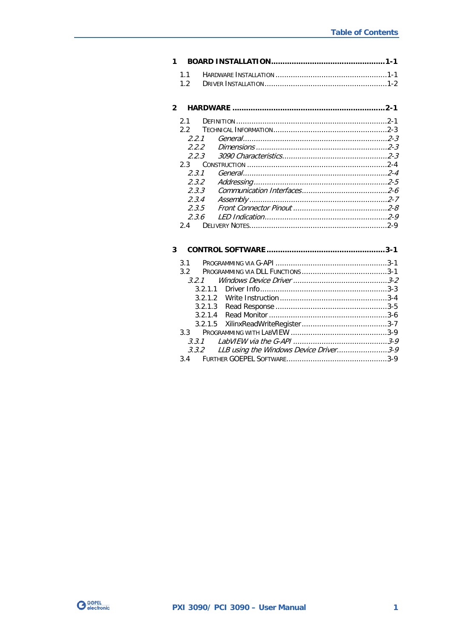#### 

| 2 <sub>1</sub> |  |
|----------------|--|
| 22             |  |
| 221            |  |
| 222            |  |
| 223            |  |
| 23             |  |
| 231            |  |
| 2.3.2          |  |
| 233            |  |
| 2.3.4          |  |
| 235            |  |
| 2.36           |  |
|                |  |

| 3 |                |                                              |  |
|---|----------------|----------------------------------------------|--|
|   | 3.1            |                                              |  |
|   | 3 <sup>2</sup> |                                              |  |
|   |                |                                              |  |
|   |                |                                              |  |
|   |                |                                              |  |
|   |                |                                              |  |
|   |                |                                              |  |
|   |                |                                              |  |
|   | २२ व           |                                              |  |
|   | 3.3.1          |                                              |  |
|   |                | 3.3.2 LLB using the Windows Device Driver3-9 |  |
|   |                |                                              |  |

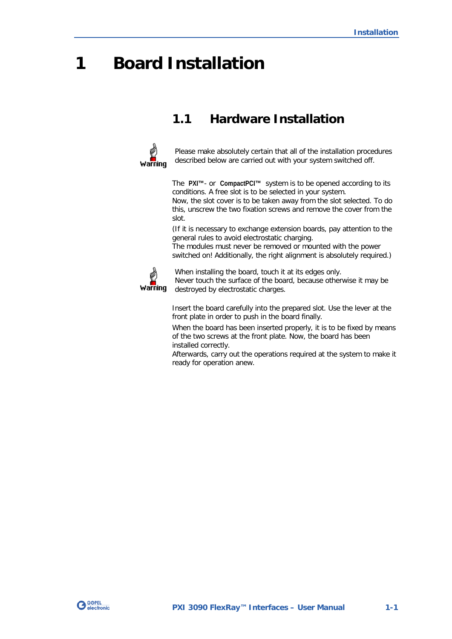## <span id="page-4-0"></span>**1 Board Installation**

## <span id="page-4-1"></span>**1.1 Hardware Installation**



Please make absolutely certain that all of the installation procedures described below are carried out with your system switched off.

The **PXI™**- or **CompactPCI™** system is to be opened according to its conditions. A free slot is to be selected in your system.

Now, the slot cover is to be taken away from the slot selected. To do this, unscrew the two fixation screws and remove the cover from the slot.

(If it is necessary to exchange extension boards, pay attention to the general rules to avoid electrostatic charging.

The modules must never be removed or mounted with the power switched on! Additionally, the right alignment is absolutely required.)



When installing the board, touch it at its edges only.

Never touch the surface of the board, because otherwise it may be destroyed by electrostatic charges.

Insert the board carefully into the prepared slot. Use the lever at the front plate in order to push in the board finally.

When the board has been inserted properly, it is to be fixed by means of the two screws at the front plate. Now, the board has been installed correctly.

Afterwards, carry out the operations required at the system to make it ready for operation anew.

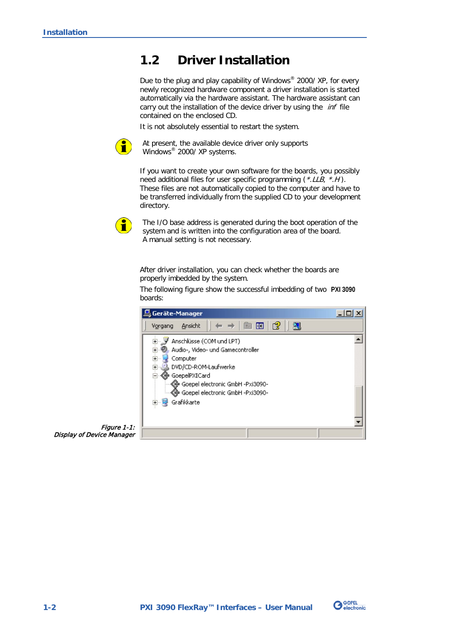## <span id="page-5-0"></span>**1.2 Driver Installation**

Due to the plug and play capability of Windows® 2000/ XP, for every newly recognized hardware component a driver installation is started automatically via the hardware assistant. The hardware assistant can carry out the installation of the device driver by using the *inf* file contained on the enclosed CD.

It is not absolutely essential to restart the system.



At present, the available device driver only supports Windows<sup>®</sup> 2000/ XP systems.

If you want to create your own software for the boards, you possibly need additional files for user specific programming (\*.LLB, \*.H). These files are not automatically copied to the computer and have to be transferred individually from the supplied CD to your development directory.



The I/O base address is generated during the boot operation of the system and is written into the configuration area of the board. A manual setting is not necessary.

After driver installation, you can check whether the boards are properly imbedded by the system.

The following figure show the successful imbedding of two **PXI 3090** boards:



Figure 1-1: Display of Device Manager

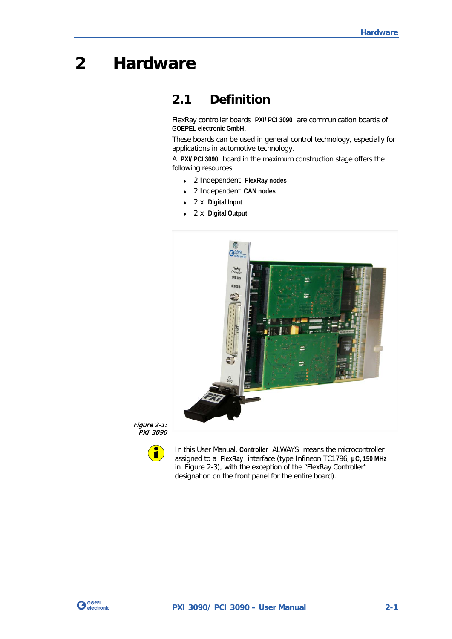## <span id="page-6-0"></span>**2 Hardware**

## <span id="page-6-1"></span>**2.1 Definition**

FlexRay controller boards **PXI/ PCI 3090** are communication boards of **GOEPEL electronic GmbH**.

These boards can be used in general control technology, especially for applications in automotive technology.

A **PXI/ PCI 3090** board in the maximum construction stage offers the following resources:

- ♦ 2 Independent **FlexRay nodes**
- ♦ 2 Independent **CAN nodes**
- ♦ 2 x **Digital Input**
- ♦ 2 x **Digital Output**



Figure 2-1: PXI 3090



In this User Manual, **Controller** ALWAYS means the microcontroller assigned to a **FlexRay** interface (type Infineon TC1796, **µC, 150 MHz** in [Figure 2-3\)](#page-9-2), with the exception of the "FlexRay Controller" designation on the front panel for the entire board).

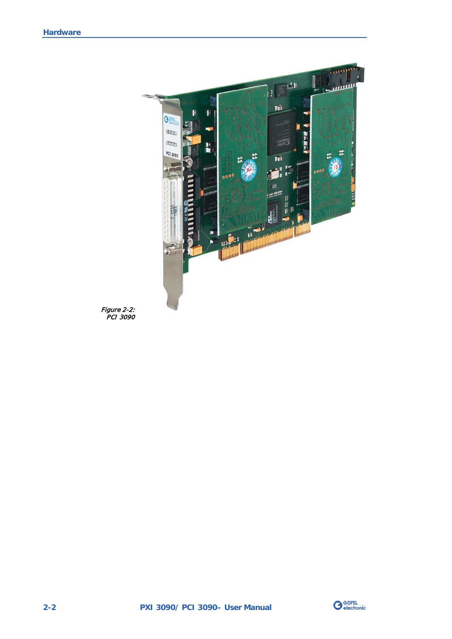

Figure 2-2: PCI 3090

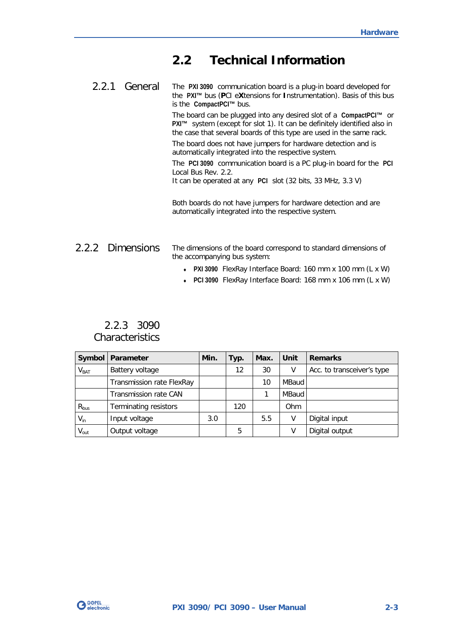## <span id="page-8-0"></span>**2.2 Technical Information**

<span id="page-8-1"></span>The **PXI 3090** communication board is a plug-in board developed for the **PXI™** bus (**P**CI e**X**tensions for **I**nstrumentation). Basis of this bus is the **CompactPCI™** bus. 2.2.1 General

> The board can be plugged into any desired slot of a **CompactPCI™** or **PXI™** system (except for slot 1). It can be definitely identified also in the case that several boards of this type are used in the same rack. The board does not have jumpers for hardware detection and is

automatically integrated into the respective system.

The **PCI 3090** communication board is a PC plug-in board for the **PCI** Local Bus Rev. 2.2.

It can be operated at any **PCI** slot (32 bits, 33 MHz, 3.3 V)

Both boards do not have jumpers for hardware detection and are automatically integrated into the respective system.

#### <span id="page-8-2"></span>The dimensions of the board correspond to standard dimensions of the accompanying bus system: 2.2.2 Dimensions

- ♦ **PXI 3090** FlexRay Interface Board: 160 mm x 100 mm (L x W)
- ♦ **PCI 3090** FlexRay Interface Board: 168 mm x 106 mm (L x W)

## <span id="page-8-3"></span>2.2.3 3090 **Characteristics**

|                  | Symbol   Parameter           | Min. | Typ. | Max. | Unit  | <b>Remarks</b>             |
|------------------|------------------------------|------|------|------|-------|----------------------------|
| V <sub>BAT</sub> | Battery voltage              |      | 12   | 30   | ۷     | Acc. to transceiver's type |
|                  | Transmission rate FlexRay    |      |      | 10   | MBaud |                            |
|                  | Transmission rate CAN        |      |      |      | MBaud |                            |
| $R_{bus}$        | <b>Terminating resistors</b> |      | 120  |      | Ohm   |                            |
| $V_{in}$         | Input voltage                | 3.0  |      | 5.5  | V     | Digital input              |
| $V_{\text{out}}$ | Output voltage               |      | 5    |      | ۷     | Digital output             |

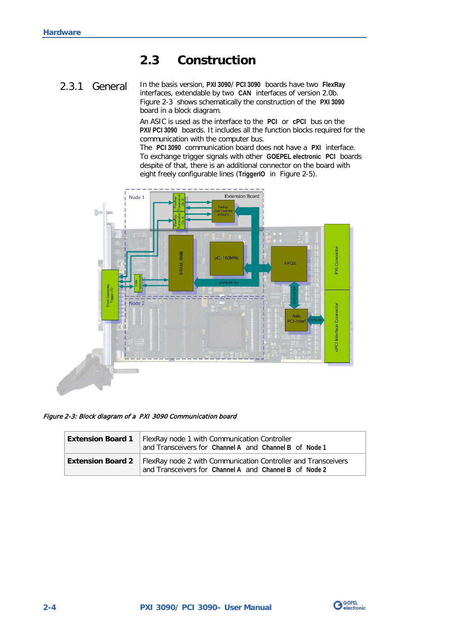## <span id="page-9-0"></span>**2.3 Construction**

#### <span id="page-9-1"></span>In the basis version, **PXI 3090**/ **PCI 3090** boards have two **FlexRay** interfaces, extendable by two **CAN** interfaces of version 2.0b. [Figure 2-3](#page-9-2) shows schematically the construction of the **PXI 3090** board in a block diagram. 2.3.1 General

An ASIC is used as the interface to the **PCI** or **cPCI** bus on the **PXI/ PCI 3090** boards. It includes all the function blocks required for the communication with the computer bus.

The **PCI 3090** communication board does not have a **PXI** interface. To exchange trigger signals with other **GOEPEL electronic PCI** boards despite of that, there is an additional connector on the board with eight freely configurable lines (**TriggerIO** in [Figure 2-5\)](#page-12-1).



<span id="page-9-2"></span>Figure 2-3: Block diagram of a PXI 3090 Communication board

| <b>Extension Board 1</b> | FlexRay node 1 with Communication Controller<br>and Transceivers for Channel A and Channel B of Node 1                                             |
|--------------------------|----------------------------------------------------------------------------------------------------------------------------------------------------|
|                          | <b>Extension Board 2</b>   FlexRay node 2 with Communication Controller and Transceivers<br>and Transceivers for Channel A and Channel B of Node 2 |

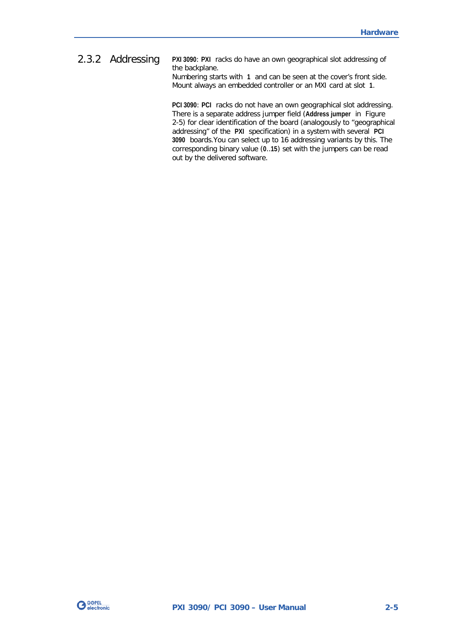#### <span id="page-10-0"></span>**PXI 3090**: **PXI** racks do have an own geographical slot addressing of the backplane. Numbering starts with **1** and can be seen at the cover's front side. 2.3.2 Addressing

Mount always an embedded controller or an MXI card at slot **1**.

**PCI 3090**: **PCI** racks do not have an own geographical slot addressing. There is a separate address jumper field (**Address jumper** in [Figure](#page-12-1)  [2-5\)](#page-12-1) for clear identification of the board (analogously to "geographical addressing" of the **PXI** specification) in a system with several **PCI 3090** boards.You can select up to 16 addressing variants by this. The corresponding binary value (**0**..**15**) set with the jumpers can be read out by the delivered software.

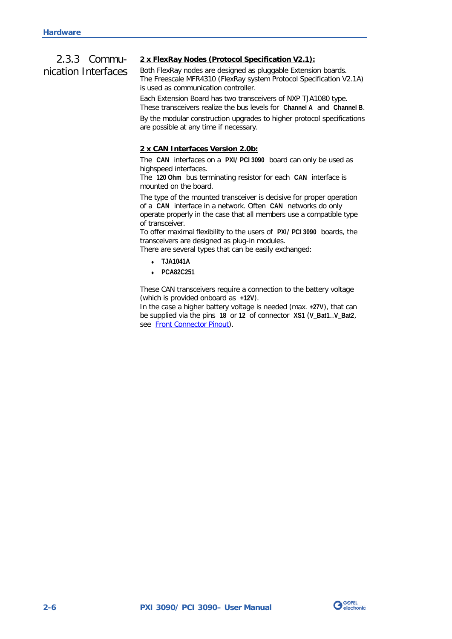## <span id="page-11-0"></span>2.3.3 Communication Interfaces

#### **2 x FlexRay Nodes (Protocol Specification V2.1):**

Both FlexRay nodes are designed as pluggable Extension boards. The Freescale MFR4310 (FlexRay system Protocol Specification V2.1A) is used as communication controller.

Each Extension Board has two transceivers of NXP TJA1080 type. These transceivers realize the bus levels for **Channel A** and **Channel B**.

By the modular construction upgrades to higher protocol specifications are possible at any time if necessary.

#### **2 x CAN Interfaces Version 2.0b:**

The **CAN** interfaces on a **PXI**/ **PCI 3090** board can only be used as highspeed interfaces.

The **120 Ohm** bus terminating resistor for each **CAN** interface is mounted on the board.

The type of the mounted transceiver is decisive for proper operation of a **CAN** interface in a network. Often **CAN** networks do only operate properly in the case that all members use a compatible type of transceiver.

To offer maximal flexibility to the users of **PXI**/ **PCI 3090** boards, the transceivers are designed as plug-in modules.

There are several types that can be easily exchanged:

- ♦ **TJA1041A**
- ♦ **PCA82C251**

These CAN transceivers require a connection to the battery voltage (which is provided onboard as **+12V**).

In the case a higher battery voltage is needed (max. **+27V**), that can be supplied via the pins **18** or **12** of connector **XS1** (**V\_Bat1**..**V\_Bat2**, see [Front Connector Pinout\)](#page-13-0).

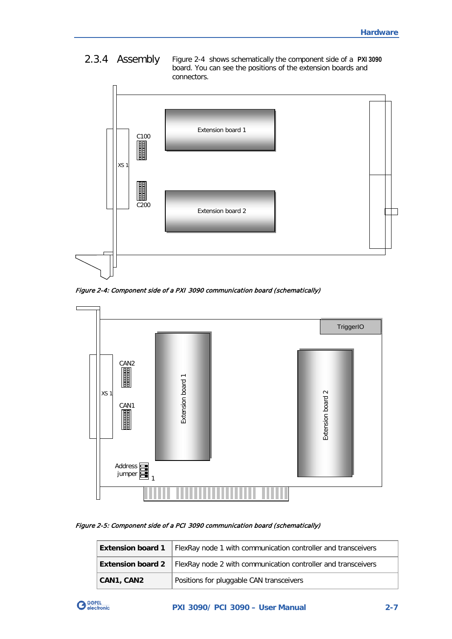## <span id="page-12-0"></span>2.3.4 Assembly





<span id="page-12-2"></span>Figure 2-4: Component side of a PXI 3090 communication board (schematically)



#### <span id="page-12-1"></span>Figure 2-5: Component side of a PCI 3090 communication board (schematically)

| <b>Extension board 1</b> | FlexRay node 1 with communication controller and transceivers                            |
|--------------------------|------------------------------------------------------------------------------------------|
|                          | <b>Extension board 2</b>   FlexRay node 2 with communication controller and transceivers |
| CAN1, CAN2               | Positions for pluggable CAN transceivers                                                 |

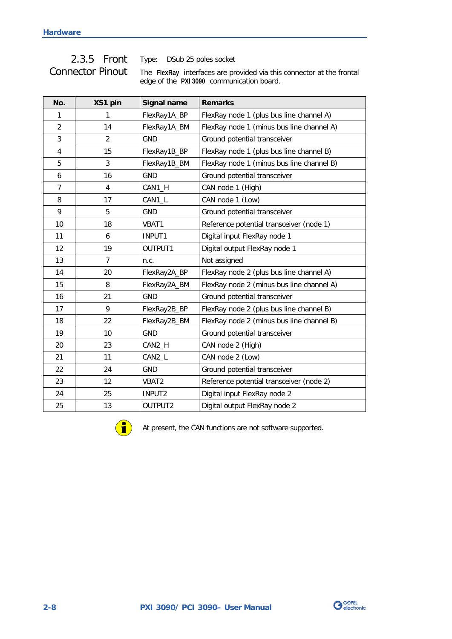## <span id="page-13-0"></span>Connector Pinout

2.3.5 Front Type: DSub 25 poles socket

The **FlexRay** interfaces are provided via this connector at the frontal edge of the **PXI 3090** communication board.

| No.            | XS1 pin                 | Signal name  | <b>Remarks</b>                            |
|----------------|-------------------------|--------------|-------------------------------------------|
| 1              | 1                       | FlexRay1A_BP | FlexRay node 1 (plus bus line channel A)  |
| $\overline{2}$ | 14                      | FlexRay1A_BM | FlexRay node 1 (minus bus line channel A) |
| 3              | $\overline{2}$          | <b>GND</b>   | Ground potential transceiver              |
| 4              | 15                      | FlexRay1B_BP | FlexRay node 1 (plus bus line channel B)  |
| 5              | 3                       | FlexRay1B_BM | FlexRay node 1 (minus bus line channel B) |
| 6              | 16                      | <b>GND</b>   | Ground potential transceiver              |
| $\overline{7}$ | $\overline{\mathbf{4}}$ | CAN1_H       | CAN node 1 (High)                         |
| 8              | 17                      | CAN1_L       | CAN node 1 (Low)                          |
| 9              | 5                       | <b>GND</b>   | Ground potential transceiver              |
| 10             | 18                      | VBAT1        | Reference potential transceiver (node 1)  |
| 11             | 6                       | INPUT1       | Digital input FlexRay node 1              |
| 12             | 19                      | OUTPUT1      | Digital output FlexRay node 1             |
| 13             | 7                       | n.c.         | Not assigned                              |
| 14             | 20                      | FlexRay2A_BP | FlexRay node 2 (plus bus line channel A)  |
| 15             | 8                       | FlexRay2A_BM | FlexRay node 2 (minus bus line channel A) |
| 16             | 21                      | GND          | Ground potential transceiver              |
| 17             | 9                       | FlexRay2B_BP | FlexRay node 2 (plus bus line channel B)  |
| 18             | 22                      | FlexRay2B_BM | FlexRay node 2 (minus bus line channel B) |
| 19             | 10                      | <b>GND</b>   | Ground potential transceiver              |
| 20             | 23                      | CAN2_H       | CAN node 2 (High)                         |
| 21             | 11                      | CAN2_L       | CAN node 2 (Low)                          |
| 22             | 24                      | <b>GND</b>   | Ground potential transceiver              |
| 23             | 12                      | VBAT2        | Reference potential transceiver (node 2)  |
| 24             | 25                      | INPUT2       | Digital input FlexRay node 2              |
| 25             | 13                      | OUTPUT2      | Digital output FlexRay node 2             |



At present, the CAN functions are not software supported.

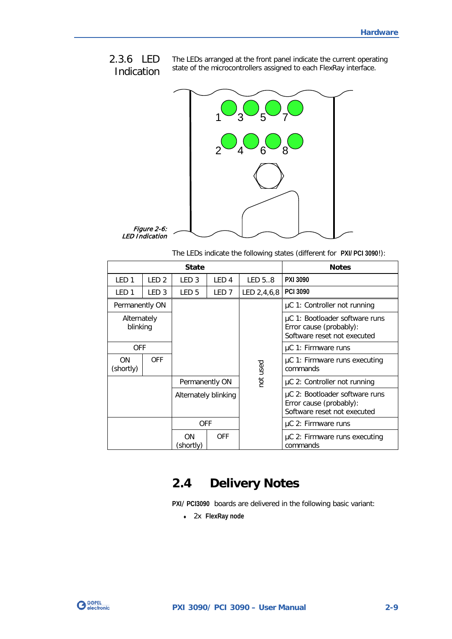The LEDs arranged at the front panel indicate the current operating state of the microcontrollers assigned to each FlexRay interface. 2.3.6 LED Indication

<span id="page-14-0"></span>

The LEDs indicate the following states (different for **PXI/ PCI 3090**!):

|                         |                  | <b>State</b>           |                      |               | <b>Notes</b>                                                                             |  |
|-------------------------|------------------|------------------------|----------------------|---------------|------------------------------------------------------------------------------------------|--|
| LED <sub>1</sub>        | LED <sub>2</sub> | LED <sub>3</sub>       | LED <sub>4</sub>     | LED 58        | PXI 3090                                                                                 |  |
| LED <sub>1</sub>        | LED <sub>3</sub> | LED <sub>5</sub>       | LED <sub>7</sub>     | LED $2,4,6,8$ | <b>PCI 3090</b>                                                                          |  |
| Permanently ON          |                  |                        |                      |               | µC 1: Controller not running                                                             |  |
| Alternately<br>blinking |                  |                        |                      |               | µC 1: Bootloader software runs<br>Error cause (probably):<br>Software reset not executed |  |
| <b>OFF</b>              |                  |                        |                      |               | µC 1: Firmware runs                                                                      |  |
| <b>ON</b><br>(shortly)  | <b>OFF</b>       |                        |                      | used          | µC 1: Firmware runs executing<br>commands                                                |  |
|                         |                  | Permanently ON         |                      | hot           | µC 2: Controller not running                                                             |  |
|                         |                  |                        | Alternately blinking |               | µC 2: Bootloader software runs<br>Error cause (probably):<br>Software reset not executed |  |
|                         |                  | <b>OFF</b>             |                      |               | $\mu$ C 2: Firmware runs                                                                 |  |
|                         |                  | <b>ON</b><br>(shortly) | <b>OFF</b>           |               | µC 2: Firmware runs executing<br>commands                                                |  |

## <span id="page-14-1"></span>**2.4 Delivery Notes**

**PXI**/ **PCI3090** boards are delivered in the following basic variant:

♦ 2x **FlexRay node**

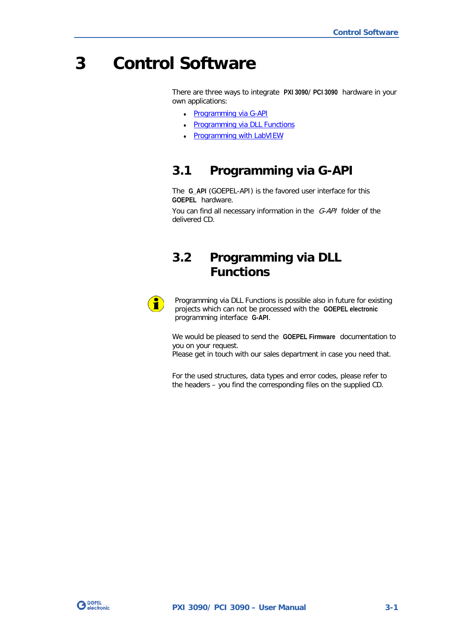## <span id="page-16-0"></span>**3 Control Software**

There are three ways to integrate **PXI 3090**/ **PCI 3090** hardware in your own applications:

- Programming via G-API
- **Programming via DLL Functions**
- **Programming with LabVIEW**

## <span id="page-16-1"></span>**3.1 Programming via G-API**

The **G\_API** (GOEPEL-API) is the favored user interface for this **GOEPEL** hardware.

You can find all necessary information in the G-API folder of the delivered CD.

## <span id="page-16-2"></span>**3.2 Programming via DLL Functions**



Programming via DLL Functions is possible also in future for existing projects which can not be processed with the **GOEPEL electronic** programming interface **G-API**.

We would be pleased to send the **GOEPEL Firmware** documentation to you on your request.

Please get in touch with our sales department in case you need that.

For the used structures, data types and error codes, please refer to the headers – you find the corresponding files on the supplied CD.

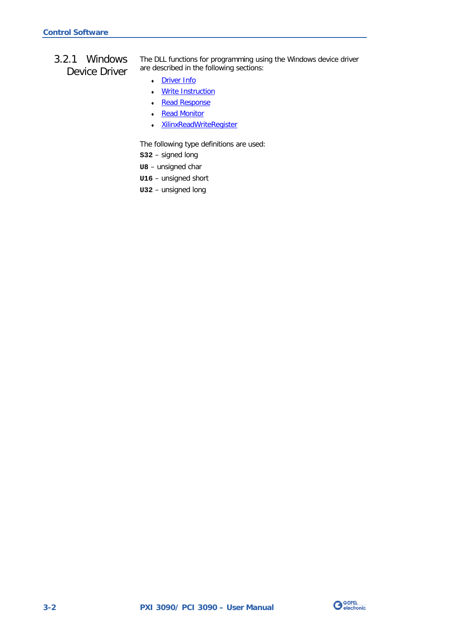## <span id="page-17-0"></span>3.2.1 Windows Device Driver

The DLL functions for programming using the Windows device driver are described in the following sections:

- Driver Info
- ♦ [Write Instruction](#page-19-1)
- Read Response
- Read Monitor
- ♦ XilinxReadWriteRegister

The following type definitions are used:

- **S32** signed long
- **U8** unsigned char
- **U16** unsigned short
- **U32** unsigned long

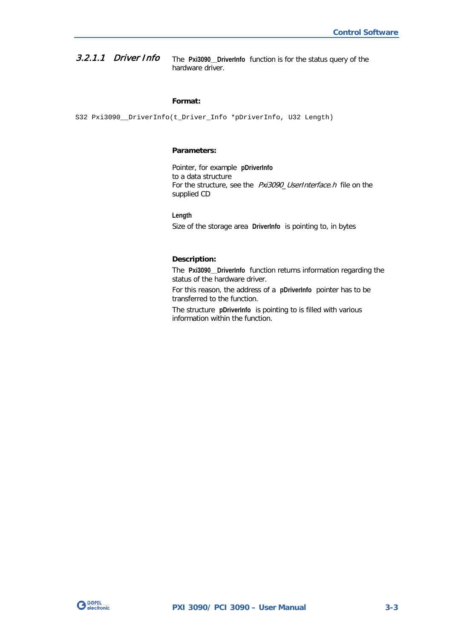<span id="page-18-0"></span>The **Pxi3090\_\_DriverInfo** function is for the status query of the hardware driver. 3.2.1.1 Driver Info

#### <span id="page-18-1"></span>**Format:**

S32 Pxi3090\_\_DriverInfo(t\_Driver\_Info \*pDriverInfo, U32 Length)

#### **Parameters:**

Pointer, for example **pDriverInfo** to a data structure For the structure, see the *Pxi3090\_UserInterface.h* file on the supplied CD

**Length**

Size of the storage area **DriverInfo** is pointing to, in bytes

#### **Description:**

The **Pxi3090\_\_DriverInfo** function returns information regarding the status of the hardware driver.

For this reason, the address of a **pDriverInfo** pointer has to be transferred to the function.

The structure **pDriverInfo** is pointing to is filled with various information within the function.

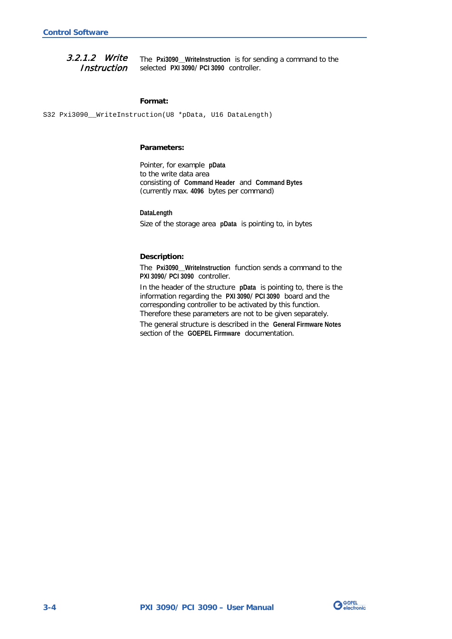<span id="page-19-0"></span>The **Pxi3090\_\_WriteInstruction** is for sending a command to the selected **PXI 3090**/ **PCI 3090** controller. 3.2.1.2 Write **Instruction** 

#### <span id="page-19-1"></span>**Format:**

S32 Pxi3090\_WriteInstruction(U8 \*pData, U16 DataLength)

#### **Parameters:**

Pointer, for example **pData** to the write data area consisting of **Command Header** and **Command Bytes** (currently max. **4096** bytes per command)

**DataLength**

Size of the storage area **pData** is pointing to, in bytes

#### **Description:**

The **Pxi3090\_\_WriteInstruction** function sends a command to the **PXI 3090**/ **PCI 3090** controller.

In the header of the structure **pData** is pointing to, there is the information regarding the **PXI 3090**/ **PCI 3090** board and the corresponding controller to be activated by this function. Therefore these parameters are not to be given separately.

The general structure is described in the **General Firmware Notes** section of the **GOEPEL Firmware** documentation.

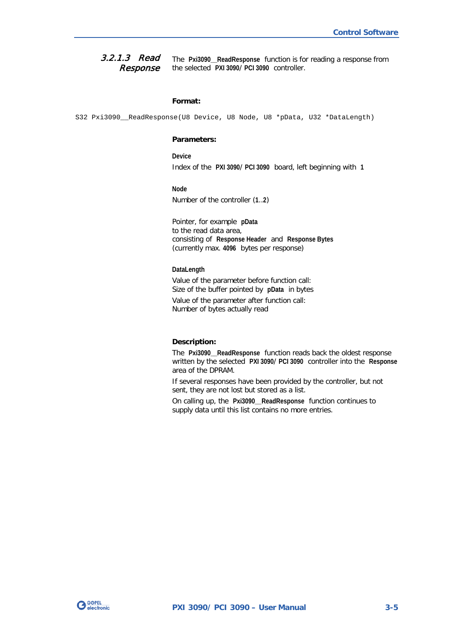<span id="page-20-0"></span>The **Pxi3090\_\_ReadResponse** function is for reading a response from the selected **PXI 3090**/ **PCI 3090** controller. 3.2.1.3 Read Response

#### <span id="page-20-1"></span>**Format:**

S32 Pxi3090\_ReadResponse(U8 Device, U8 Node, U8 \*pData, U32 \*DataLength)

#### **Parameters:**

**Device**

Index of the **PXI 3090**/ **PCI 3090** board, left beginning with **1**

#### **Node**

Number of the controller (**1**..**2**)

Pointer, for example **pData** to the read data area, consisting of **Response Header** and **Response Bytes** (currently max. **4096** bytes per response)

#### **DataLength**

Value of the parameter before function call: Size of the buffer pointed by **pData** in bytes Value of the parameter after function call: Number of bytes actually read

#### **Description:**

The **Pxi3090\_\_ReadResponse** function reads back the oldest response written by the selected **PXI 3090**/ **PCI 3090** controller into the **Response** area of the DPRAM.

If several responses have been provided by the controller, but not sent, they are not lost but stored as a list.

On calling up, the **Pxi3090\_\_ReadResponse** function continues to supply data until this list contains no more entries.

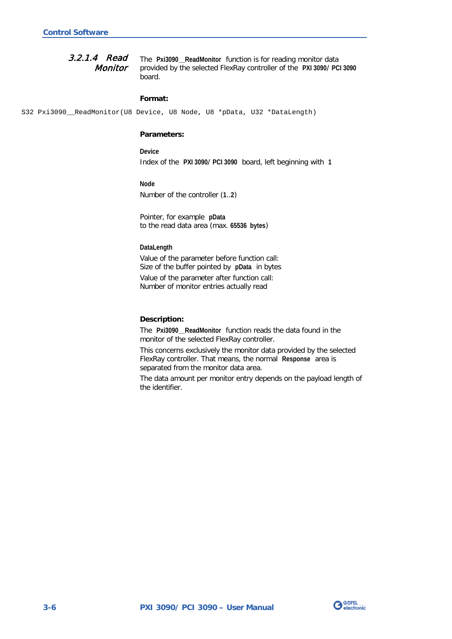<span id="page-21-0"></span>The **Pxi3090\_\_ReadMonitor** function is for reading monitor data provided by the selected FlexRay controller of the **PXI 3090**/ **PCI 3090** board. 3.2.1.4 Read **Monitor** 

#### <span id="page-21-1"></span>**Format:**

S32 Pxi3090\_\_ReadMonitor(U8 Device, U8 Node, U8 \*pData, U32 \*DataLength)

#### **Parameters:**

**Device** Index of the **PXI 3090**/ **PCI 3090** board, left beginning with **1**

**Node**

Number of the controller (**1**..**2**)

Pointer, for example **pData** to the read data area (max. **65536 bytes**)

#### **DataLength**

Value of the parameter before function call: Size of the buffer pointed by **pData** in bytes

Value of the parameter after function call: Number of monitor entries actually read

#### **Description:**

The **Pxi3090\_\_ReadMonitor** function reads the data found in the monitor of the selected FlexRay controller.

This concerns exclusively the monitor data provided by the selected FlexRay controller. That means, the normal **Response** area is separated from the monitor data area.

The data amount per monitor entry depends on the payload length of the identifier.

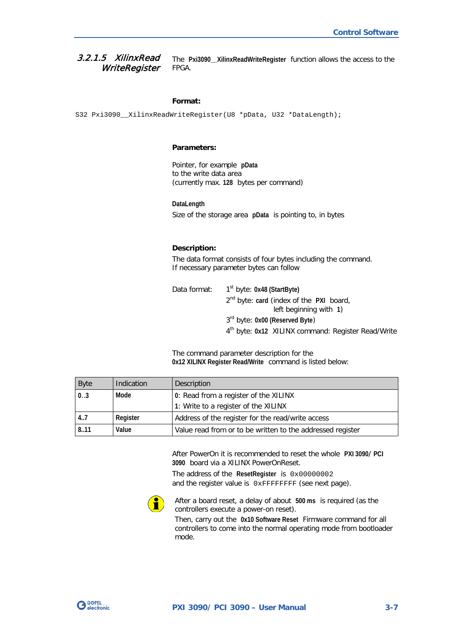#### <span id="page-22-0"></span>The **Pxi3090\_\_XilinxReadWriteRegister** function allows the access to the FPGA. 3.2.1.5 XilinxRead **WriteRegister**

#### **Format:**

S32 Pxi3090\_\_XilinxReadWriteRegister(U8 \*pData, U32 \*DataLength);

#### **Parameters:**

Pointer, for example **pData** to the write data area (currently max. **128** bytes per command)

**DataLength** Size of the storage area **pData** is pointing to, in bytes

#### **Description:**

The data format consists of four bytes including the command. If necessary parameter bytes can follow

| Data format: | 1 <sup>st</sup> byte: 0x48 (StartByte)                         |
|--------------|----------------------------------------------------------------|
|              | $2^{nd}$ byte: card (index of the PXI board,                   |
|              | left beginning with 1)                                         |
|              | $3rd$ byte: 0x00 (Reserved Byte)                               |
|              | 4 <sup>th</sup> byte: 0x12 XILINX command: Register Read/Write |

The command parameter description for the **0x12 XILINX Register Read/Write** command is listed below:

| <b>Byte</b> | Indication | Description                                                |
|-------------|------------|------------------------------------------------------------|
| 0.3         | Mode       | 0: Read from a register of the XILINX                      |
|             |            | 1: Write to a register of the XILINX                       |
| 4.7         | Register   | Address of the register for the read/write access          |
| 8.11        | Value      | Value read from or to be written to the addressed register |

After PowerOn it is recommended to reset the whole **PXI 3090**/ **PCI 3090** board via a XILINX PowerOnReset.

The address of the **ResetRegister** is 0x00000002 and the register value is  $0x$ FFFFFFFF (see next page).



After a board reset, a delay of about **500 ms** is required (as the controllers execute a power-on reset).

Then, carry out the **0x10 Software Reset** Firmware command for all controllers to come into the normal operating mode from bootloader mode.

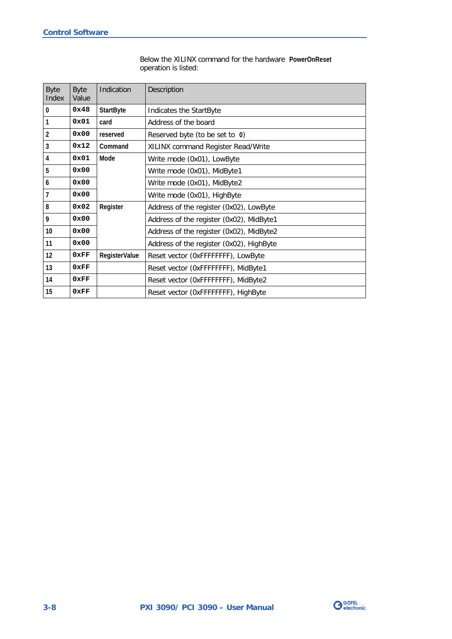#### Below the XILINX command for the hardware **PowerOnReset** operation is listed:

| <b>Byte</b><br>Index | <b>Byte</b><br>Value | Indication           | Description                              |
|----------------------|----------------------|----------------------|------------------------------------------|
| 0                    | 0x48                 | <b>StartByte</b>     | Indicates the StartByte                  |
| 1                    | 0x01                 | card                 | Address of the board                     |
| $\overline{2}$       | 0x00                 | reserved             | Reserved byte (to be set to 0)           |
| 3                    | 0x12                 | Command              | XILINX command Register Read/Write       |
| 4                    | 0x01                 | Mode                 | Write mode (0x01), LowByte               |
| 5                    | 0x00                 |                      | Write mode (0x01), MidByte1              |
| $\boldsymbol{6}$     | 0x00                 |                      | Write mode (0x01), MidByte2              |
| $\overline{7}$       | 0x00                 |                      | Write mode (0x01), HighByte              |
| 8                    | 0x02                 | Register             | Address of the register (0x02), LowByte  |
| 9                    | 0x00                 |                      | Address of the register (0x02), MidByte1 |
| 10                   | 0x00                 |                      | Address of the register (0x02), MidByte2 |
| 11                   | 0x00                 |                      | Address of the register (0x02), HighByte |
| 12                   | 0xFF                 | <b>RegisterValue</b> | Reset vector (OxFFFFFFFF), LowByte       |
| 13                   | 0xFF                 |                      | Reset vector (OxFFFFFFFF), MidByte1      |
| 14                   | 0xFF                 |                      | Reset vector (OxFFFFFFFF), MidByte2      |
| 15                   | 0xFF                 |                      | Reset vector (OxFFFFFFFF), HighByte      |

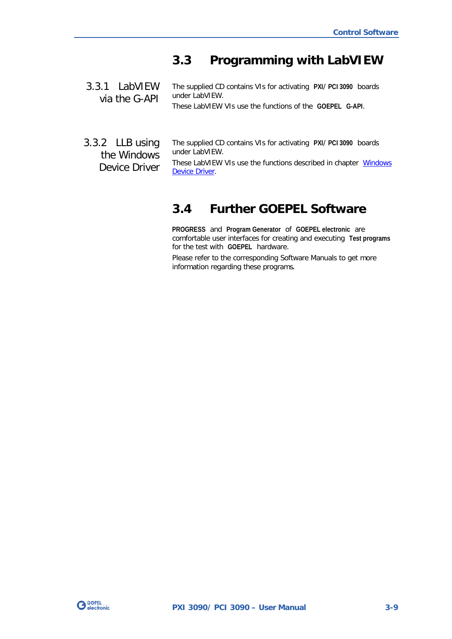## <span id="page-24-0"></span>**3.3 Programming with LabVIEW**

<span id="page-24-1"></span>The supplied CD contains VIs for activating **PXI**/ **PCI 3090** boards under LabVIEW. 3.3.1 LabVIEW via the G-API

These LabVIEW VIs use the functions of the **GOEPEL G-API**.

<span id="page-24-2"></span>3.3.2 LLB using the Windows Device Driver

The supplied CD contains VIs for activating **PXI**/ **PCI 3090** boards under LabVIEW.

These LabVIEW VIs use the functions described in chapter Windows [Device Driver.](#page-17-0)

## <span id="page-24-3"></span>**3.4 Further GOEPEL Software**

**PROGRESS** and **Program Generator** of **GOEPEL electronic** are comfortable user interfaces for creating and executing **Test programs** for the test with **GOEPEL** hardware.

Please refer to the corresponding Software Manuals to get more information regarding these programs**.**